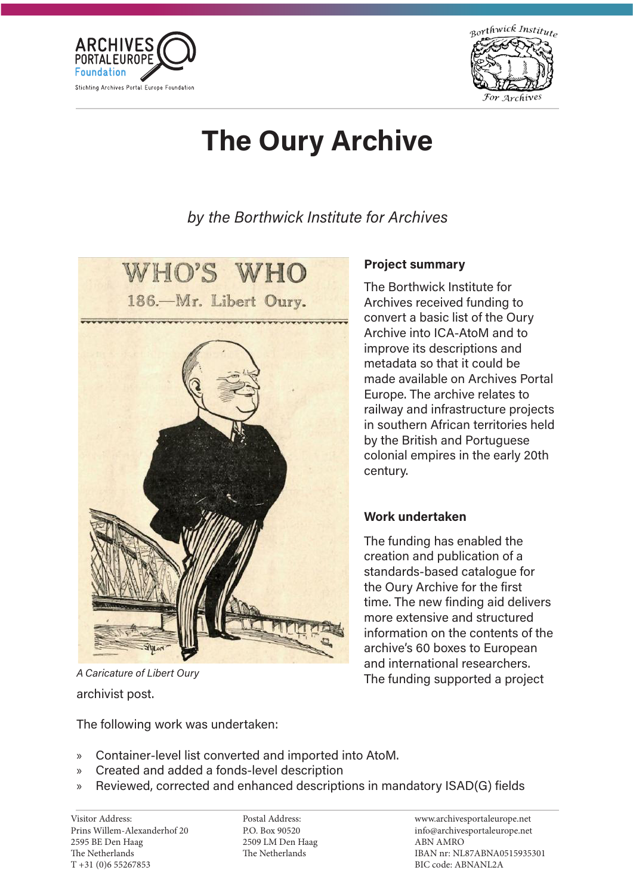



# The Oury Archive

by the Borthwick Institute for Archives



# archivist post. A Caricature of Libert Oury

The following work was undertaken:

## Project summary

The Borthwick Institute for Archives received funding to convert a basic list of the Oury Archive into ICA-AtoM and to improve its descriptions and metadata so that it could be made available on Archives Portal Europe. The archive relates to railway and infrastructure projects in southern African territories held by the British and Portuguese colonial empires in the early 20th century.

## Work undertaken

The funding has enabled the creation and publication of a standards-based catalogue for the Oury Archive for the first time. The new finding aid delivers more extensive and structured information on the contents of the archive's 60 boxes to European and international researchers. The funding supported a project

- » Container-level list converted and imported into AtoM.
- » Created and added a fonds-level description
- » Reviewed, corrected and enhanced descriptions in mandatory ISAD(G) fields

Prins Willem-Alexanderhof 20 2595 BE Den Haag The Netherlands The Indianal Contraction<br>The 21 YOM C EFO CHO T +31 (0)6 55267853 T +31 (0)6 55267853 Visitor Address:

P.O. Box 90520 2509 LM Den Haag  $250$  cm  $250$ The Netherlands The Netherlands Postal Address: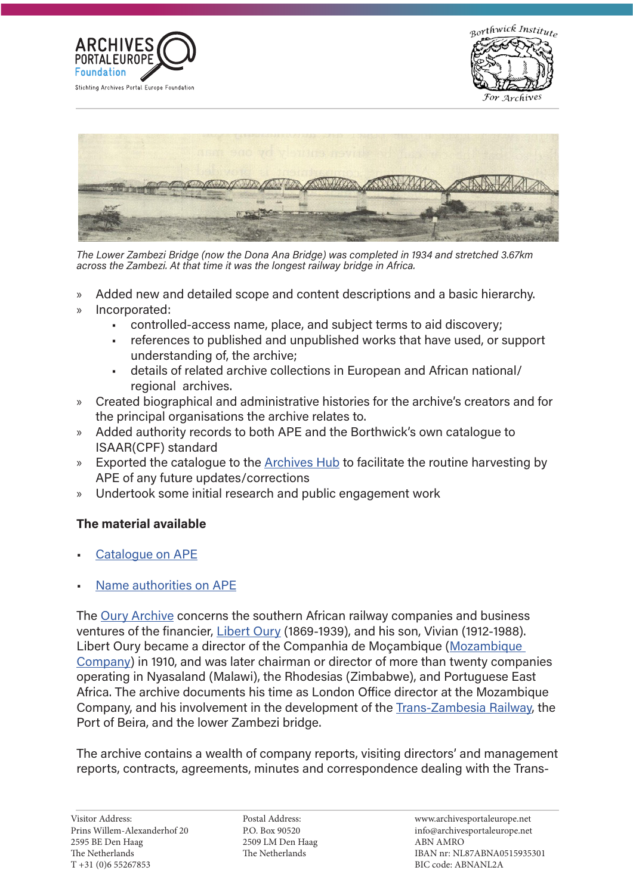





The Lower Zambezi Bridge (now the Dona Ana Bridge) was completed in 1934 and stretched 3.67km across the Zambezi. At that time it was the longest railway bridge in Africa.

- » Added new and detailed scope and content descriptions and a basic hierarchy.
- » Incorporated:
	- controlled-access name, place, and subject terms to aid discovery;
	- references to published and unpublished works that have used, or support understanding of, the archive;
	- details of related archive collections in European and African national/ regional archives.
- » Created biographical and administrative histories for the archive's creators and for the principal organisations the archive relates to.
- » Added authority records to both APE and the Borthwick's own catalogue to ISAAR(CPF) standard
- » Exported the catalogue to the [Archives Hub](https://archiveshub.jisc.ac.uk/data/gb193-oury) to facilitate the routine harvesting by APE of any future updates/corrections
- » Undertook some initial research and public engagement work

#### The material available

- [Catalogue on APE](http://www.archivesportaleurope.net/ead-display/-/ead/pl/aicode/GB-193/type/fa/id/gb193-oury)
- [Name authorities on APE](http://www.archivesportaleurope.net/directory/-/dir/content/GB-193/ec)

The [Oury Archive](http://www.archivesportaleurope.net/ead-display/-/ead/pl/aicode/GB-193/type/fa/id/gb193-oury/) concerns the southern African railway companies and business ventures of the financier, [Libert Oury](http://www.archivesportaleurope.net/eac-display/-/eac/pl/aicode/GB-193/type/ec/id/1637587148088) (1869-1939), and his son, Vivian (1912-1988). Libert Oury became a director of the Companhia de Moçambique ([Mozambique](http://www.archivesportaleurope.net/eac-display/-/eac/pl/aicode/GB-193/type/ec/id/1637950958200)  [Company\)](http://www.archivesportaleurope.net/eac-display/-/eac/pl/aicode/GB-193/type/ec/id/1637950958200) in 1910, and was later chairman or director of more than twenty companies operating in Nyasaland (Malawi), the Rhodesias (Zimbabwe), and Portuguese East Africa. The archive documents his time as London Office director at the Mozambique Company, and his involvement in the development of the [Trans-Zambesia Railway](http://www.archivesportaleurope.net/eac-display/-/eac/pl/aicode/GB-193/type/ec/id/1637951541789), the Port of Beira, and the lower Zambezi bridge.

The archive contains a wealth of company reports, visiting directors' and management reports, contracts, agreements, minutes and correspondence dealing with the Trans-

P.O. Box 90520 2509 LM Den Haag  $250$  cm  $250$ The Netherlands The Netherlands Postal Address: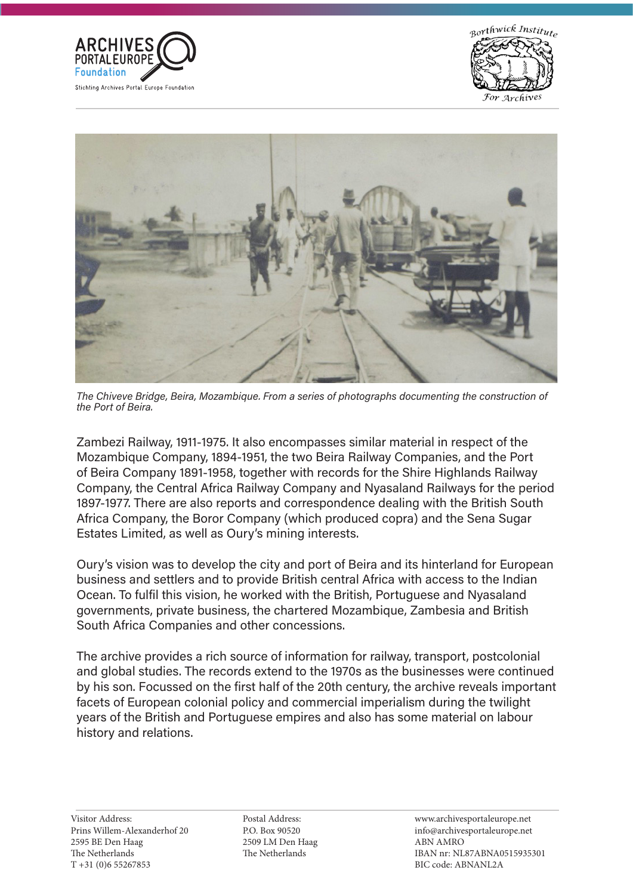





The Chiveve Bridge, Beira, Mozambique. From a series of photographs documenting the construction of the Port of Beira.

Zambezi Railway, 1911-1975. It also encompasses similar material in respect of the Mozambique Company, 1894-1951, the two Beira Railway Companies, and the Port of Beira Company 1891-1958, together with records for the Shire Highlands Railway Company, the Central Africa Railway Company and Nyasaland Railways for the period 1897-1977. There are also reports and correspondence dealing with the British South Africa Company, the Boror Company (which produced copra) and the Sena Sugar Estates Limited, as well as Oury's mining interests.

Oury's vision was to develop the city and port of Beira and its hinterland for European business and settlers and to provide British central Africa with access to the Indian Ocean. To fulfil this vision, he worked with the British, Portuguese and Nyasaland governments, private business, the chartered Mozambique, Zambesia and British South Africa Companies and other concessions.

The archive provides a rich source of information for railway, transport, postcolonial and global studies. The records extend to the 1970s as the businesses were continued by his son. Focussed on the first half of the 20th century, the archive reveals important facets of European colonial policy and commercial imperialism during the twilight years of the British and Portuguese empires and also has some material on labour history and relations.

P.O. Box 90520 2509 LM Den Haag  $250$  cm  $250$ The Netherlands The Netherlands Postal Address: